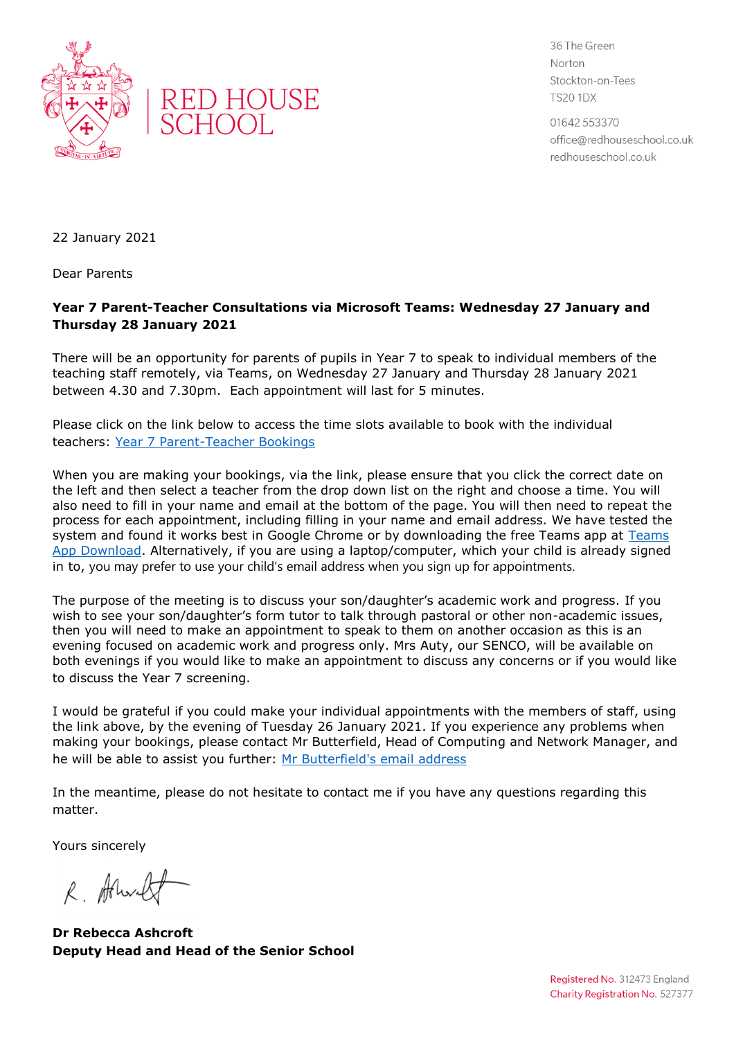



36 The Green Norton Stockton-on-Tees **TS20 1DX** 

01642 553370 office@redhouseschool.co.uk redhouseschool.co.uk

22 January 2021

Dear Parents

## **Year 7 Parent-Teacher Consultations via Microsoft Teams: Wednesday 27 January and Thursday 28 January 2021**

There will be an opportunity for parents of pupils in Year 7 to speak to individual members of the teaching staff remotely, via Teams, on Wednesday 27 January and Thursday 28 January 2021 between 4.30 and 7.30pm. Each appointment will last for 5 minutes.

Please click on the link below to access the time slots available to book with the individual teachers: [Year 7 Parent-Teacher Bookings](https://outlook.office365.com/owa/calendar/RedHouseSchool@redhouseschool.co.uk/bookings/)

When you are making your bookings, via the link, please ensure that you click the correct date on the left and then select a teacher from the drop down list on the right and choose a time. You will also need to fill in your name and email at the bottom of the page. You will then need to repeat the process for each appointment, including filling in your name and email address. We have tested the system and found it works best in Google Chrome or by downloading the free [Teams](https://www.microsoft.com/en-gb/microsoft-365/microsoft-teams/download-app) app at Teams [App Download.](https://www.microsoft.com/en-gb/microsoft-365/microsoft-teams/download-app) Alternatively, if you are using a laptop/computer, which your child is already signed in to, you may prefer to use your child's email address when you sign up for appointments.

The purpose of the meeting is to discuss your son/daughter's academic work and progress. If you wish to see your son/daughter's form tutor to talk through pastoral or other non-academic issues, then you will need to make an appointment to speak to them on another occasion as this is an evening focused on academic work and progress only. Mrs Auty, our SENCO, will be available on both evenings if you would like to make an appointment to discuss any concerns or if you would like to discuss the Year 7 screening.

I would be grateful if you could make your individual appointments with the members of staff, using the link above, by the evening of Tuesday 26 January 2021. If you experience any problems when making your bookings, please contact Mr Butterfield, Head of Computing and Network Manager, and he will be able to assist you further: [Mr Butterfield's email address](file:///C:/Users/ashcroft/AppData/Local/Temp/Temp1_TEMPLATES%20AND%20LETTERS.zip/graeme.butterfield@redhouseschool.co.uk)

In the meantime, please do not hesitate to contact me if you have any questions regarding this matter.

Yours sincerely

R. Allende

**Dr Rebecca Ashcroft Deputy Head and Head of the Senior School**